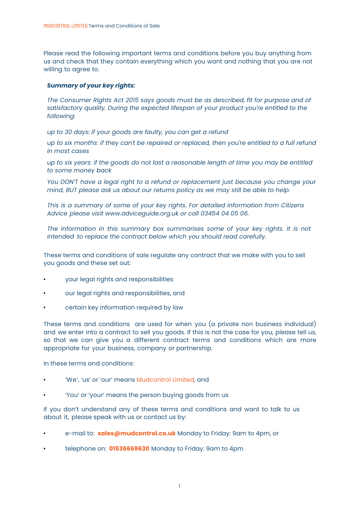Please read the following important terms and conditions before you buy anything from us and check that they contain everything which you want and nothing that you are not willing to agree to.

# *Summary of your key rights:*

*The Consumer Rights Act 2015 says goods must be as described, fit for purpose and of satisfactory quality. During the expected lifespan of your product you're entitled to the following:*

*up to 30 days: if your goods are faulty, you can get a refund*

*up to six months: if they can't be repaired or replaced, then you're entitled to a full refund in most cases*

*up to six years: if the goods do not last a reasonable length of time you may be entitled to some money back*

*You DON'T have a legal right to a refund or replacement just because you change your mind, BUT please ask us about our returns policy as we may still be able to help.*

*This is a summary of some of your key rights. For detailed information from Citizens Advice please visit www.adviceguide.org.uk or call 03454 04 05 06.*

*The information in this summary box summarises some of your key rights. It is not intended to replace the contract below which you should read carefully.*

These terms and conditions of sale regulate any contract that we make with you to sell you goods and these set out:

- your legal rights and responsibilities
- our legal rights and responsibilities, and
- certain key information required by law

These terms and conditions are used for when you (a private non business individual) and we enter into a contract to sell you goods. If this is not the case for you, please tell us, so that we can give you a different contract terms and conditions which are more appropriate for your business, company or partnership.

In these terms and conditions:

- 'We', 'us' or 'our' means Mudcontrol Limited, and
- 'You' or 'your' means the person buying goods from us

If you don't understand any of these terms and conditions and want to talk to us about it, please speak with us or contact us by:

- e-mail to: **sales@mudcontrol.co.uk** Monday to Friday: 9am to 4pm, or
- telephone on: **01536669630** Monday to Friday: 9am to 4pm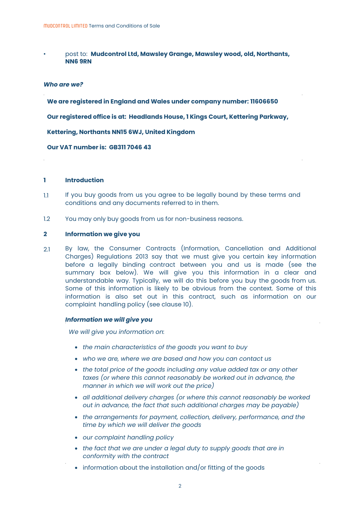• post to: **Mudcontrol Ltd, Mawsley Grange, Mawsley wood, old, Northants, NN6 9RN**

# *Who are we?*

**We are registered in England and Wales under company number: 11606650** 

**Our registered office is at: Headlands House, 1 Kings Court, Kettering Parkway,** 

**Kettering, Northants NN15 6WJ, United Kingdom** 

**Our VAT number is: GB311 7046 43**

#### **1 Introduction**

- 1.1 If you buy goods from us you agree to be legally bound by these terms and conditions and any documents referred to in them.
- 1.2 You may only buy goods from us for non-business reasons.

#### **2 Information we give you**

2.1 By law, the Consumer Contracts (Information, Cancellation and Additional Charges) Regulations 2013 say that we must give you certain key information before a legally binding contract between you and us is made (see the summary box below). We will give you this information in a clear and understandable way. Typically, we will do this before you buy the goods from us. Some of this information is likely to be obvious from the context. Some of this information is [als](#page-5-0)o set out in this contract, such as information on our complaint handling policy (see clause 10).

## *Information we will give you*

*We will give you information on:*

- *the main characteristics of the goods you want to buy*
- *who we are, where we are based and how you can contact us*
- *the total price of the goods including any value added tax or any other taxes (or where this cannot reasonably be worked out in advance, the manner in which we will work out the price)*
- *all additional delivery charges (or where this cannot reasonably be worked out in advance, the fact that such additional charges may be payable)*
- *the arrangements for payment, collection, delivery, performance, and the time by which we will deliver the goods*
- *our complaint handling policy*
- *the fact that we are under a legal duty to supply goods that are in conformity with the contract*
- information about the installation and/or fitting of the goods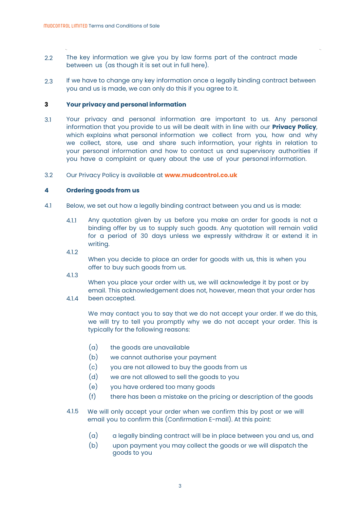- 2.2 The key information we give you by law forms part of the contract made between us (as though it is set out in full here).
- 2.3 If we have to change any key information once a legally binding contract between you and us is made, we can only do this if you agree to it.

#### **3 Your privacy and personal information**

- 3.1 Your privacy and personal information are important to us. Any personal information that you provide to us will be dealt with in line with our **Privacy Policy**, which explains what personal information we collect from you, how and why we collect, store, use and share such information, your rights in relation to your personal information and how to contact us and supervisory authorities if you have a complaint or query about the use of your personal information.
- 3.2 Our Privacy Policy is available at **www.mudcontrol.co.uk**

#### **4 Ordering goods from us**

- 4.1 Below, we set out how a legally binding contract between you and us is made:
	- 4.1.1 Any quotation given by us before you make an order for goods is not a binding offer by us to supply such goods. Any quotation will remain valid for a period of 30 days unless we expressly withdraw it or extend it in writing.
	- 4.1.2

When you decide to place an order for goods with us, this is when you offer to buy such goods from us.

4.1.3

When you place your order with us, we will acknowledge it by post or by email. This acknowledgement does not, however, mean that your order has been accepted.

4.1.4

We may contact you to say that we do not accept your order. If we do this, we will try to tell you promptly why we do not accept your order. This is typically for the following reasons:

- (a) the goods are unavailable
- (b) we cannot authorise your payment
- (c) you are not allowed to buy the goods from us
- (d) we are not allowed to sell the goods to you
- (e) you have ordered too many goods
- <span id="page-2-0"></span>(f) there has been a mistake on the pricing or description of the goods
- 4.1.5 We will only accept your order when we confirm this by post or we will email you to confirm this (Confirmation E-mail). At this point:
	- (a) a legally binding contract will be in place between you and us, and
	- (b) upon payment you may collect the goods or we will dispatch the goods to you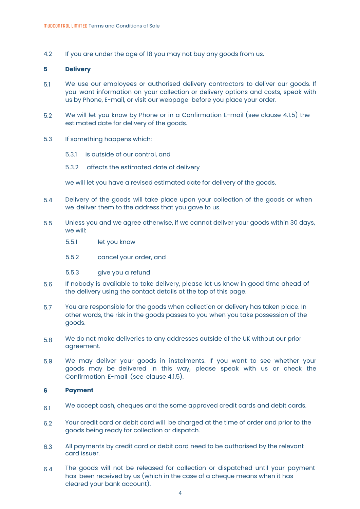4.2 If you are under the age of 18 you may not buy any goods from us.

#### **5 Delivery**

- 5.1 We use our employees or authorised delivery contractors to deliver our goods. If you want information on your collection or delivery options and costs, speak with us by Phone, E-mail, or visit our webpage before you place your order.
- 5.2 We will let you know by Phone or in a Confirmation E-mail (see clause [4.1.5\)](#page-2-0) the estimated date for delivery of the goods.
- 5.3 If something happens which:
	- 5.3.1 is outside of our control, and
	- 5.3.2 affects the estimated date of delivery

we will let you have a revised estimated date for delivery of the goods.

- 5.4 Delivery of the goods will take place upon your collection of the goods or when we deliver them to the address that you gave to us.
- 5.5 Unless you and we agree otherwise, if we cannot deliver your goods within 30 days, we will:
	- 5.5.1 let you know
	- 5.5.2 cancel your order, and
	- 5.5.3 give you a refund
- 5.6 If nobody is available to take delivery, please let us know in good time ahead of the delivery using the contact details at the top of this page.
- 5.7 You are responsible for the goods when collection or delivery has taken place. In other words, the risk in the goods passes to you when you take possession of the goods.
- 5.8 We do not make deliveries to any addresses outside of the UK without our prior agreement.
- 5.9 We may deliver your goods in instalments. If you want to see whether your [good](#page-2-0)s may be delivered in this way, please speak with us or check the Confirmation E-mail (see clause 4.1.5).

#### **6 Payment**

- 6.1 We accept cash, cheques and the some approved credit cards and debit cards.
- 62 Your credit card or debit card will be charged at the time of order and prior to the goods being ready for collection or dispatch.
- 6.3 All payments by credit card or debit card need to be authorised by the relevant card issuer.
- 6.4 The goods will not be released for collection or dispatched until your payment has been received by us (which in the case of a cheque means when it has cleared your bank account).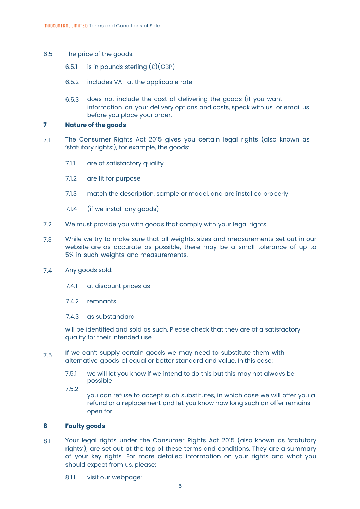- 6.5 The price of the goods:
	- 6.5.1 is in pounds sterling  $(E)(GBP)$
	- 6.5.2 includes VAT at the applicable rate
	- 6.5.3 does not include the cost of delivering the goods (if you want information on your delivery options and costs, speak with us or email us before you place your order.

#### **7 Nature of the goods**

- 7.1 The Consumer Rights Act 2015 gives you certain legal rights (also known as 'statutory rights'), for example, the goods:
	- 7.1.1 are of satisfactory quality
	- 7.1.2 are fit for purpose
	- 7.1.3 match the description, sample or model, and are installed properly
	- 7.1.4 (if we install any goods)
- 7.2 We must provide you with goods that comply with your legal rights.
- 7.3 While we try to make sure that all weights, sizes and measurements set out in our website are as accurate as possible, there may be a small tolerance of up to 5% in such weights and measurements.
- 7.4 Any goods sold:
	- 7.4.1 at discount prices as
	- 7.4.2 remnants
	- 7.4.3 as substandard

will be identified and sold as such. Please check that they are of a satisfactory quality for their intended use.

- 7.5 If we can't supply certain goods we may need to substitute them with alternative goods of equal or better standard and value. In this case:
	- 7.5.1 we will let you know if we intend to do this but this may not always be possible
	- 7.5.2

you can refuse to accept such substitutes, in which case we will offer you a refund or a replacement and let you know how long such an offer remains open for

#### **8 Faulty goods**

- 8.1 Your legal rights under the Consumer Rights Act 2015 (also known as 'statutory rights'), are set out at the top of these terms and conditions. They are a summary of your key rights. For more detailed information on your rights and what you should expect from us, please:
	- 8.1.1 visit our webpage: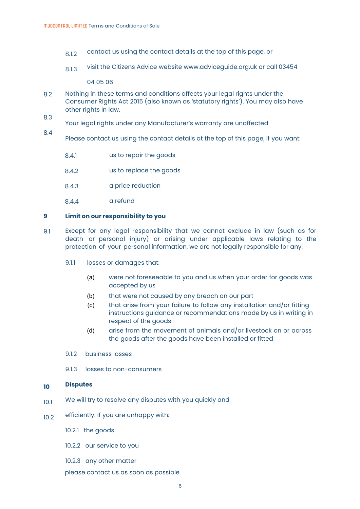- 8.1.2 contact us using the contact details at the top of this page, or
- 8.1.3 visit the Citizens Advice website www.adviceguide.org.uk or call 03454

04 05 06

- 8.2 Nothing in these terms and conditions affects your legal rights under the Consumer Rights Act 2015 (also known as 'statutory rights'). You may also have other rights in law.
- 8.3 Your legal rights under any Manufacturer's warranty are unaffected
- 8.4 Please contact us using the contact details at the top of this page, if you want:
	- 8.4.1 us to repair the goods
	- 842 us to replace the goods
	- 8.4.3 a price reduction
	- 8.4.4 a refund

#### **9 Limit on our responsibility to you**

- 9.1 Except for any legal responsibility that we cannot exclude in law (such as for death or personal injury) or arising under applicable laws relating to the protection of your personal information, we are not legally responsible for any:
	- 9.1.1 losses or damages that:
		- (a) were not foreseeable to you and us when your order for goods was accepted by us
		- (b) that were not caused by any breach on our part
		- (c) that arise from your failure to follow any installation and/or fitting instructions guidance or recommendations made by us in writing in respect of the goods
		- (d) arise from the movement of animals and/or livestock on or across the goods after the goods have been installed or fitted
	- 9.1.2 business losses
	- 9.1.3 losses to non-consumers

#### <span id="page-5-0"></span>**10 Disputes**

- 10.1 We will try to resolve any disputes with you quickly and
- 10.2 efficiently. If you are unhappy with:
	- 10.2.1 the goods
	- 10.2.2 our service to you
	- 10.2.3 any other matter
	- please contact us as soon as possible.